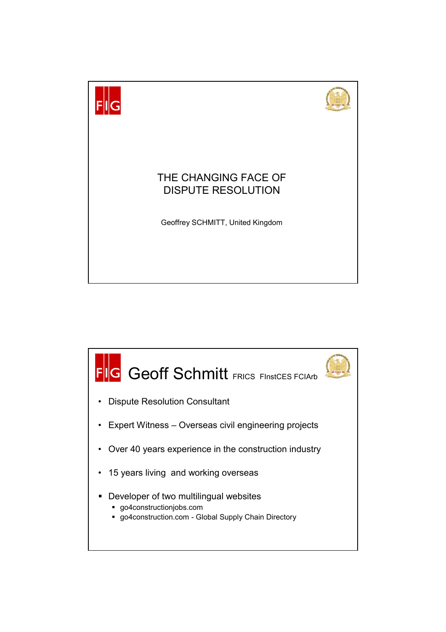

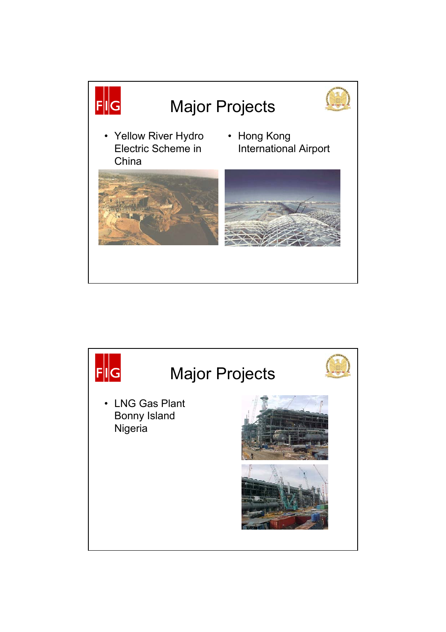

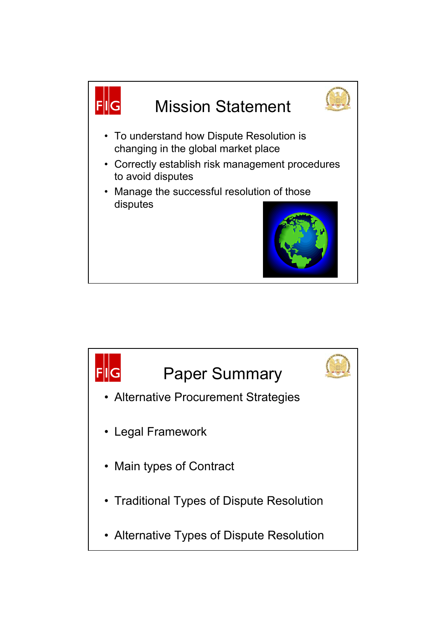

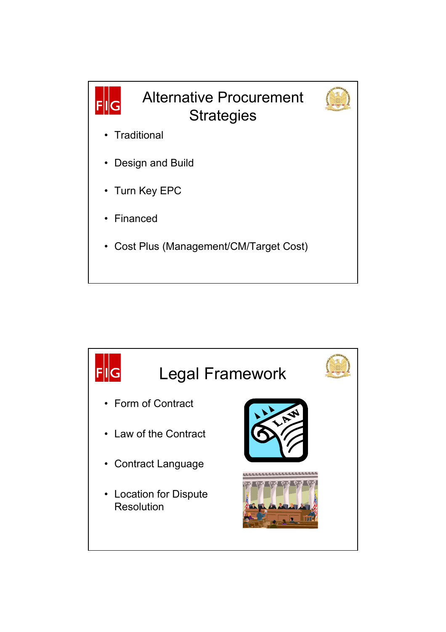

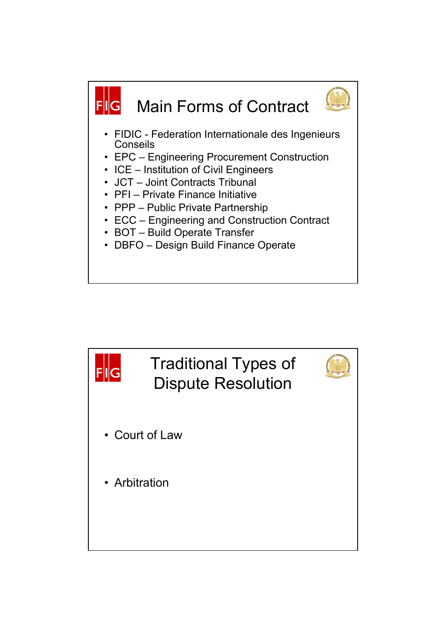

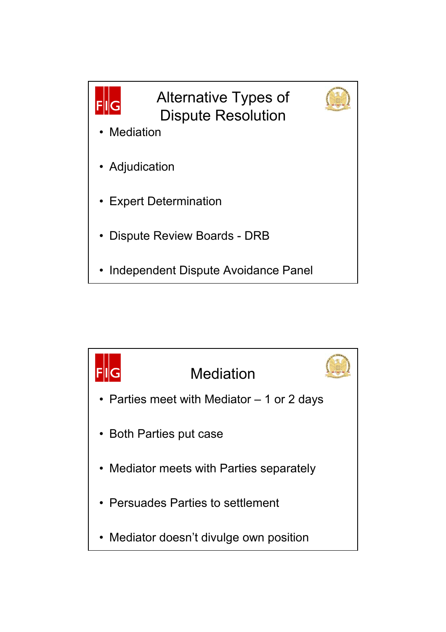

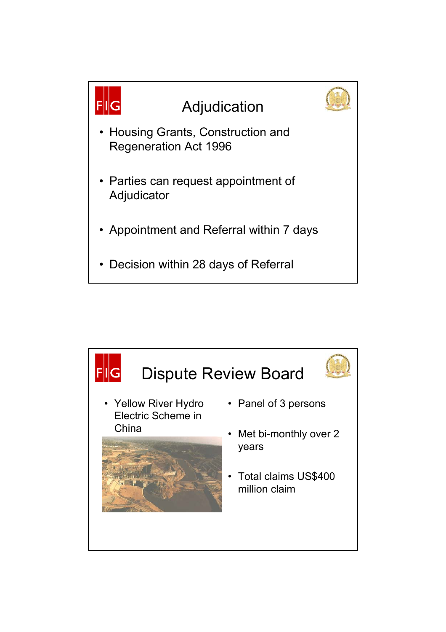

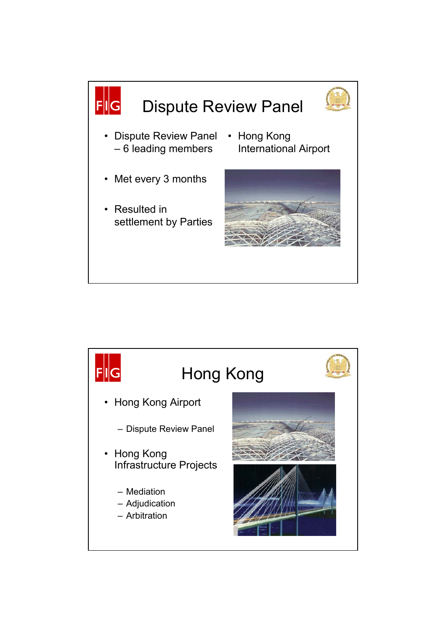

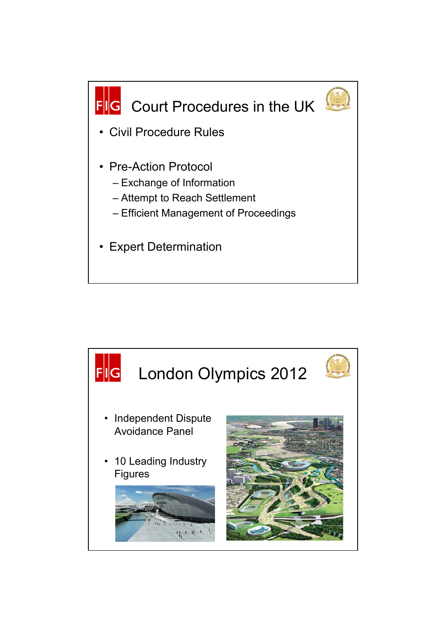

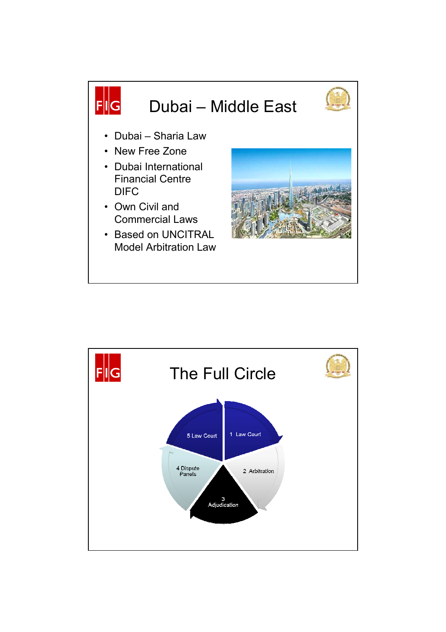